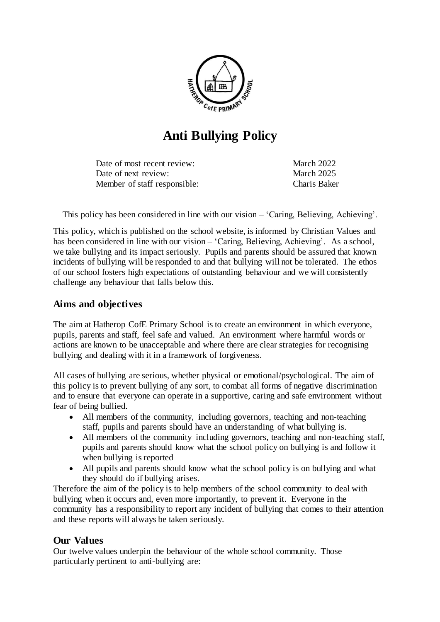

# **Anti Bullying Policy**

Date of most recent review: March 2022 Date of next review: March 2025 Member of staff responsible: Charis Baker

This policy has been considered in line with our vision – 'Caring, Believing, Achieving'.

This policy, which is published on the school website, is informed by Christian Values and has been considered in line with our vision – 'Caring, Believing, Achieving'. As a school, we take bullying and its impact seriously. Pupils and parents should be assured that known incidents of bullying will be responded to and that bullying will not be tolerated. The ethos of our school fosters high expectations of outstanding behaviour and we will consistently challenge any behaviour that falls below this.

## **Aims and objectives**

The aim at Hatherop CofE Primary School is to create an environment in which everyone, pupils, parents and staff, feel safe and valued. An environment where harmful words or actions are known to be unacceptable and where there are clear strategies for recognising bullying and dealing with it in a framework of forgiveness.

All cases of bullying are serious, whether physical or emotional/psychological. The aim of this policy is to prevent bullying of any sort, to combat all forms of negative discrimination and to ensure that everyone can operate in a supportive, caring and safe environment without fear of being bullied.

- All members of the community, including governors, teaching and non-teaching staff, pupils and parents should have an understanding of what bullying is.
- All members of the community including governors, teaching and non-teaching staff, pupils and parents should know what the school policy on bullying is and follow it when bullying is reported
- All pupils and parents should know what the school policy is on bullying and what they should do if bullying arises.

Therefore the aim of the policy is to help members of the school community to deal with bullying when it occurs and, even more importantly, to prevent it. Everyone in the community has a responsibility to report any incident of bullying that comes to their attention and these reports will always be taken seriously.

## **Our Values**

Our twelve values underpin the behaviour of the whole school community. Those particularly pertinent to anti-bullying are: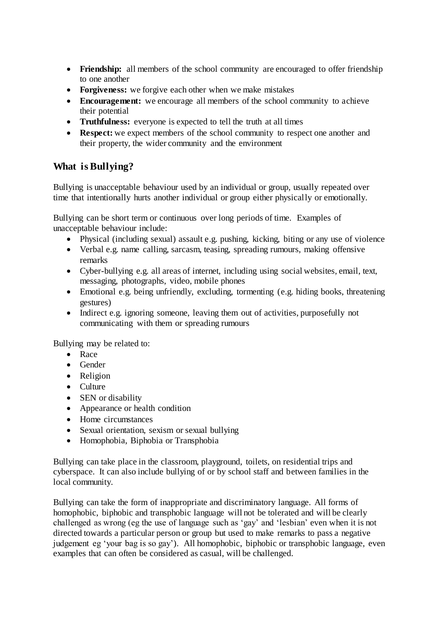- Friendship: all members of the school community are encouraged to offer friendship to one another
- **Forgiveness:** we forgive each other when we make mistakes
- **Encouragement:** we encourage all members of the school community to achieve their potential
- **Truthfulness:** everyone is expected to tell the truth at all times
- **Respect:** we expect members of the school community to respect one another and their property, the wider community and the environment

## **What is Bullying?**

Bullying is unacceptable behaviour used by an individual or group, usually repeated over time that intentionally hurts another individual or group either physically or emotionally.

Bullying can be short term or continuous over long periods of time. Examples of unacceptable behaviour include:

- Physical (including sexual) assault e.g. pushing, kicking, biting or any use of violence
- Verbal e.g. name calling, sarcasm, teasing, spreading rumours, making offensive remarks
- Cyber-bullying e.g. all areas of internet, including using social websites, email, text, messaging, photographs, video, mobile phones
- Emotional e.g. being unfriendly, excluding, tormenting (e.g. hiding books, threatening gestures)
- Indirect e.g. ignoring someone, leaving them out of activities, purposefully not communicating with them or spreading rumours

Bullying may be related to:

- Race
- Gender
- Religion
- Culture
- SEN or disability
- Appearance or health condition
- Home circumstances
- Sexual orientation, sexism or sexual bullying
- Homophobia, Biphobia or Transphobia

Bullying can take place in the classroom, playground, toilets, on residential trips and cyberspace. It can also include bullying of or by school staff and between families in the local community.

Bullying can take the form of inappropriate and discriminatory language. All forms of homophobic, biphobic and transphobic language will not be tolerated and will be clearly challenged as wrong (eg the use of language such as 'gay' and 'lesbian' even when it is not directed towards a particular person or group but used to make remarks to pass a negative judgement eg 'your bag is so gay'). All homophobic, biphobic or transphobic language, even examples that can often be considered as casual, will be challenged.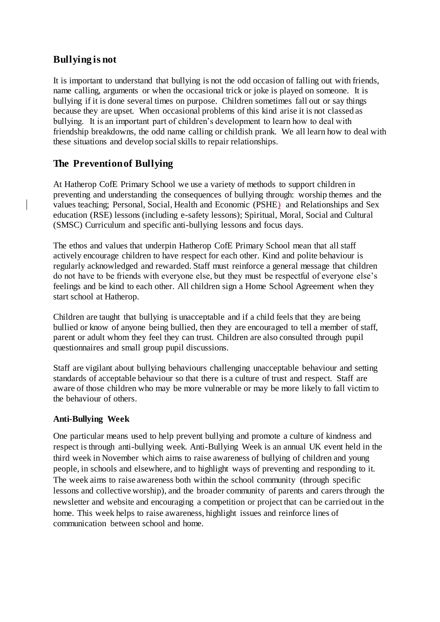## **Bullying is not**

It is important to understand that bullying is not the odd occasion of falling out with friends, name calling, arguments or when the occasional trick or joke is played on someone. It is bullying if it is done several times on purpose. Children sometimes fall out or say things because they are upset. When occasional problems of this kind arise it is not classed as bullying. It is an important part of children's development to learn how to deal with friendship breakdowns, the odd name calling or childish prank. We all learn how to deal with these situations and develop social skills to repair relationships.

# **The Prevention of Bullying**

At Hatherop CofE Primary School we use a variety of methods to support children in preventing and understanding the consequences of bullying through: worship themes and the values teaching; Personal, Social, Health and Economic (PSHE) and Relationships and Sex education (RSE) lessons (including e-safety lessons); Spiritual, Moral, Social and Cultural (SMSC) Curriculum and specific anti-bullying lessons and focus days.

The ethos and values that underpin Hatherop CofE Primary School mean that all staff actively encourage children to have respect for each other. Kind and polite behaviour is regularly acknowledged and rewarded. Staff must reinforce a general message that children do not have to be friends with everyone else, but they must be respectful of everyone else's feelings and be kind to each other. All children sign a Home School Agreement when they start school at Hatherop.

Children are taught that bullying is unacceptable and if a child feels that they are being bullied or know of anyone being bullied, then they are encouraged to tell a member of staff, parent or adult whom they feel they can trust. Children are also consulted through pupil questionnaires and small group pupil discussions.

Staff are vigilant about bullying behaviours challenging unacceptable behaviour and setting standards of acceptable behaviour so that there is a culture of trust and respect. Staff are aware of those children who may be more vulnerable or may be more likely to fall victim to the behaviour of others.

## **Anti-Bullying Week**

One particular means used to help prevent bullying and promote a culture of kindness and respect is through anti-bullying week. Anti-Bullying Week is an annual UK event held in the third week in November which aims to raise awareness of bullying of children and young people, in schools and elsewhere, and to highlight ways of preventing and responding to it. The week aims to raise awareness both within the school community (through specific lessons and collective worship), and the broader community of parents and carers through the newsletter and website and encouraging a competition or project that can be carried out in the home. This week helps to raise awareness, highlight issues and reinforce lines of communication between school and home.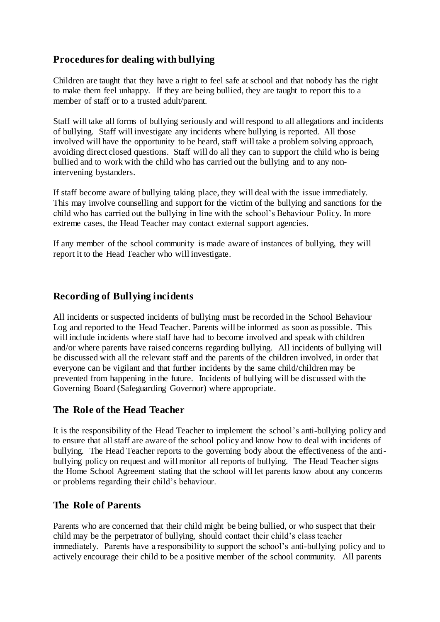## **Procedures for dealing with bullying**

Children are taught that they have a right to feel safe at school and that nobody has the right to make them feel unhappy. If they are being bullied, they are taught to report this to a member of staff or to a trusted adult/parent.

Staff will take all forms of bullying seriously and will respond to all allegations and incidents of bullying. Staff will investigate any incidents where bullying is reported. All those involved will have the opportunity to be heard, staff will take a problem solving approach, avoiding direct closed questions. Staff will do all they can to support the child who is being bullied and to work with the child who has carried out the bullying and to any nonintervening bystanders.

If staff become aware of bullying taking place, they will deal with the issue immediately. This may involve counselling and support for the victim of the bullying and sanctions for the child who has carried out the bullying in line with the school's Behaviour Policy. In more extreme cases, the Head Teacher may contact external support agencies.

If any member of the school community is made aware of instances of bullying, they will report it to the Head Teacher who will investigate.

## **Recording of Bullying incidents**

All incidents or suspected incidents of bullying must be recorded in the School Behaviour Log and reported to the Head Teacher. Parents will be informed as soon as possible. This will include incidents where staff have had to become involved and speak with children and/or where parents have raised concerns regarding bullying. All incidents of bullying will be discussed with all the relevant staff and the parents of the children involved, in order that everyone can be vigilant and that further incidents by the same child/children may be prevented from happening in the future. Incidents of bullying will be discussed with the Governing Board (Safeguarding Governor) where appropriate.

## **The Role of the Head Teacher**

It is the responsibility of the Head Teacher to implement the school's anti-bullying policy and to ensure that all staff are aware of the school policy and know how to deal with incidents of bullying. The Head Teacher reports to the governing body about the effectiveness of the antibullying policy on request and will monitor all reports of bullying. The Head Teacher signs the Home School Agreement stating that the school will let parents know about any concerns or problems regarding their child's behaviour.

## **The Role of Parents**

Parents who are concerned that their child might be being bullied, or who suspect that their child may be the perpetrator of bullying, should contact their child's class teacher immediately. Parents have a responsibility to support the school's anti-bullying policy and to actively encourage their child to be a positive member of the school community. All parents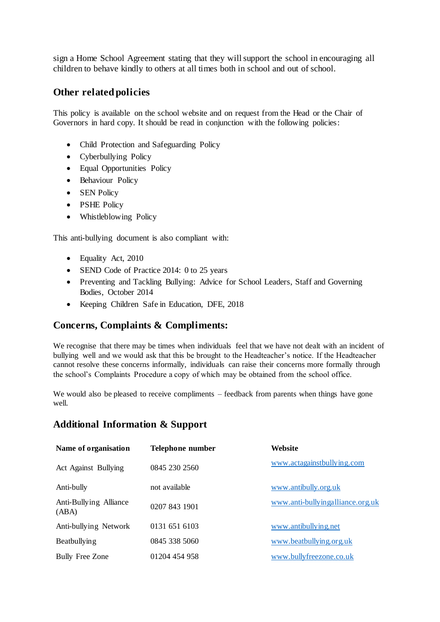sign a Home School Agreement stating that they will support the school in encouraging all children to behave kindly to others at all times both in school and out of school.

## **Other related policies**

This policy is available on the school website and on request from the Head or the Chair of Governors in hard copy. It should be read in conjunction with the following policies:

- Child Protection and Safeguarding Policy
- Cyberbullying Policy
- Equal Opportunities Policy
- Behaviour Policy
- SEN Policy
- PSHE Policy
- Whistleblowing Policy

This anti-bullying document is also compliant with:

- Equality Act, 2010
- SEND Code of Practice 2014: 0 to 25 years
- Preventing and Tackling Bullying: Advice for School Leaders, Staff and Governing Bodies, October 2014
- Keeping Children Safe in Education, DFE, 2018

## **Concerns, Complaints & Compliments:**

We recognise that there may be times when individuals feel that we have not dealt with an incident of bullying well and we would ask that this be brought to the Headteacher's notice. If the Headteacher cannot resolve these concerns informally, individuals can raise their concerns more formally through the school's Complaints Procedure a copy of which may be obtained from the school office.

We would also be pleased to receive compliments – feedback from parents when things have gone well.

## **Additional Information & Support**

| Name of organisation            | Telephone number | Website                          |
|---------------------------------|------------------|----------------------------------|
| Act Against Bullying            | 0845 230 2560    | www.actagainstbullying.com       |
| Anti-bully                      | not available    | www.antibully.org.uk             |
| Anti-Bullying Alliance<br>(ABA) | 0207 843 1901    | www.anti-bullyingalliance.org.uk |
| Anti-bullying Network           | 0131 651 6103    | www.antibullying.net             |
| Beatbullying                    | 0845 338 5060    | www.beatbullying.org.uk          |
| <b>Bully Free Zone</b>          | 01204 454 958    | www.bullyfreezone.co.uk          |